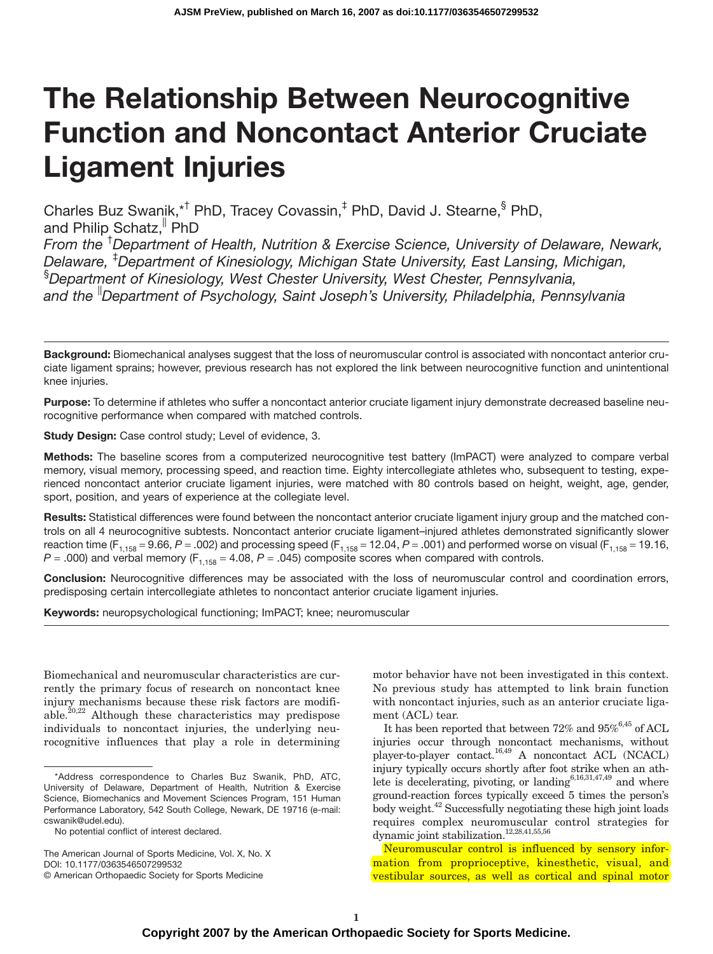# **The Relationship Between Neurocognitive Function and Noncontact Anterior Cruciate Ligament Injuries**

Charles Buz Swanik,\*† PhD, Tracey Covassin,‡ PhD, David J. Stearne,§ PhD, and Philip Schatz.<sup>||</sup> PhD *From the* † *Department of Health, Nutrition & Exercise Science, University of Delaware, Newark, Delaware,* ‡ *Department of Kinesiology, Michigan State University, East Lansing, Michigan,* § *Department of Kinesiology, West Chester University, West Chester, Pennsylvania,*

*and the* ||*Department of Psychology, Saint Joseph's University, Philadelphia, Pennsylvania*

**Background:** Biomechanical analyses suggest that the loss of neuromuscular control is associated with noncontact anterior cruciate ligament sprains; however, previous research has not explored the link between neurocognitive function and unintentional knee injuries.

**Purpose:** To determine if athletes who suffer a noncontact anterior cruciate ligament injury demonstrate decreased baseline neurocognitive performance when compared with matched controls.

**Study Design:** Case control study; Level of evidence, 3.

**Methods:** The baseline scores from a computerized neurocognitive test battery (ImPACT) were analyzed to compare verbal memory, visual memory, processing speed, and reaction time. Eighty intercollegiate athletes who, subsequent to testing, experienced noncontact anterior cruciate ligament injuries, were matched with 80 controls based on height, weight, age, gender, sport, position, and years of experience at the collegiate level.

**Results:** Statistical differences were found between the noncontact anterior cruciate ligament injury group and the matched controls on all 4 neurocognitive subtests. Noncontact anterior cruciate ligament–injured athletes demonstrated significantly slower reaction time (F<sub>1,158</sub> = 9.66, P = .002) and processing speed (F<sub>1,158</sub> = 12.04, P = .001) and performed worse on visual (F<sub>1,158</sub> = 19.16,  $P = .000$ ) and verbal memory ( $F_{1,158} = 4.08$ ,  $P = .045$ ) composite scores when compared with controls.

**Conclusion:** Neurocognitive differences may be associated with the loss of neuromuscular control and coordination errors, predisposing certain intercollegiate athletes to noncontact anterior cruciate ligament injuries.

**Keywords:** neuropsychological functioning; ImPACT; knee; neuromuscular

Biomechanical and neuromuscular characteristics are currently the primary focus of research on noncontact knee injury mechanisms because these risk factors are modifiable.<sup>20,22</sup> Although these characteristics may predispose individuals to noncontact injuries, the underlying neurocognitive influences that play a role in determining

The American Journal of Sports Medicine, Vol. X, No. X DOI: 10.1177/0363546507299532 © American Orthopaedic Society for Sports Medicine

motor behavior have not been investigated in this context. No previous study has attempted to link brain function with noncontact injuries, such as an anterior cruciate ligament (ACL) tear.

It has been reported that between  $72\%$  and  $95\%^{6,45}$  of ACL injuries occur through noncontact mechanisms, without player-to-player contact.16,49 A noncontact ACL (NCACL) injury typically occurs shortly after foot strike when an athlete is decelerating, pivoting, or landing<sup>6,16,31,47,49</sup> and where ground-reaction forces typically exceed 5 times the person's body weight.<sup>42</sup> Successfully negotiating these high joint loads requires complex neuromuscular control strategies for dynamic joint stabilization.<sup>12,28,41,55,56</sup>

Neuromuscular control is influenced by sensory information from proprioceptive, kinesthetic, visual, and vestibular sources, as well as cortical and spinal motor

<sup>\*</sup>Address correspondence to Charles Buz Swanik, PhD, ATC, University of Delaware, Department of Health, Nutrition & Exercise Science, Biomechanics and Movement Sciences Program, 151 Human Performance Laboratory, 542 South College, Newark, DE 19716 (e-mail: cswanik@udel.edu).

No potential conflict of interest declared.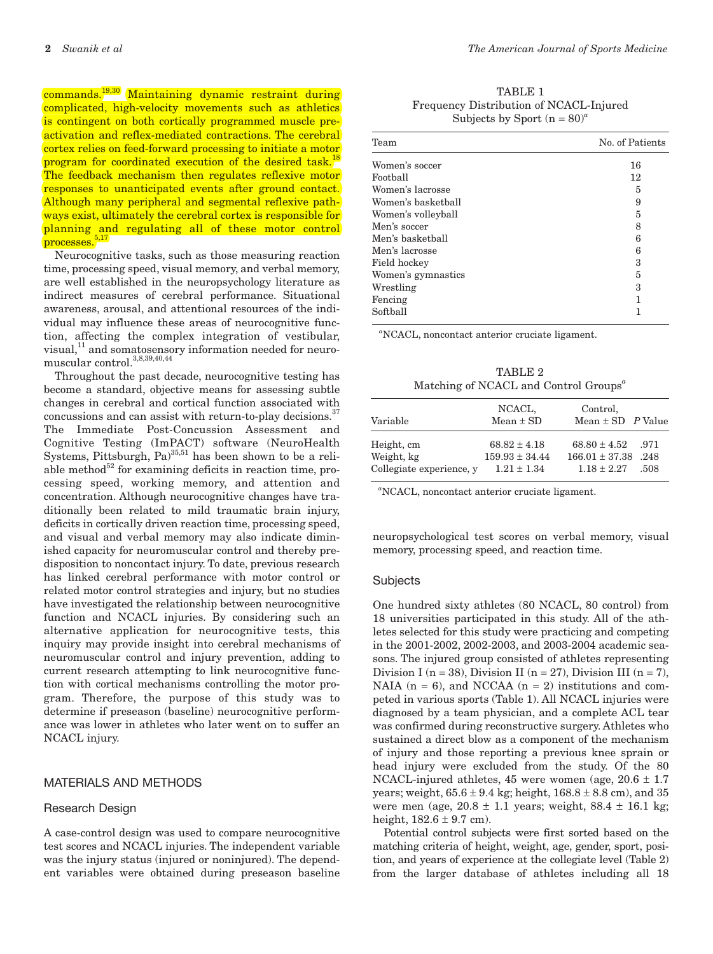commands.19,30 Maintaining dynamic restraint during complicated, high-velocity movements such as athletics is contingent on both cortically programmed muscle preactivation and reflex-mediated contractions. The cerebral cortex relies on feed-forward processing to initiate a motor program for coordinated execution of the desired task.<sup>18</sup> The feedback mechanism then regulates reflexive motor responses to unanticipated events after ground contact. Although many peripheral and segmental reflexive pathways exist, ultimately the cerebral cortex is responsible for planning and regulating all of these motor control  $\overline{\text{processes.}}^{5,17}$ 

Neurocognitive tasks, such as those measuring reaction time, processing speed, visual memory, and verbal memory, are well established in the neuropsychology literature as indirect measures of cerebral performance. Situational awareness, arousal, and attentional resources of the individual may influence these areas of neurocognitive function, affecting the complex integration of vestibular, visual,<sup>11</sup> and somatosensory information needed for neuromuscular control.3,8,39,40,44

Throughout the past decade, neurocognitive testing has become a standard, objective means for assessing subtle changes in cerebral and cortical function associated with concussions and can assist with return-to-play decisions.<sup>37</sup> The Immediate Post-Concussion Assessment and Cognitive Testing (ImPACT) software (NeuroHealth Systems, Pittsburgh, Pa $^{35,51}$  has been shown to be a reliable method $52$  for examining deficits in reaction time, processing speed, working memory, and attention and concentration. Although neurocognitive changes have traditionally been related to mild traumatic brain injury, deficits in cortically driven reaction time, processing speed, and visual and verbal memory may also indicate diminished capacity for neuromuscular control and thereby predisposition to noncontact injury. To date, previous research has linked cerebral performance with motor control or related motor control strategies and injury, but no studies have investigated the relationship between neurocognitive function and NCACL injuries. By considering such an alternative application for neurocognitive tests, this inquiry may provide insight into cerebral mechanisms of neuromuscular control and injury prevention, adding to current research attempting to link neurocognitive function with cortical mechanisms controlling the motor program. Therefore, the purpose of this study was to determine if preseason (baseline) neurocognitive performance was lower in athletes who later went on to suffer an NCACL injury.

## MATERIALS AND METHODS

#### Research Design

A case-control design was used to compare neurocognitive test scores and NCACL injuries. The independent variable was the injury status (injured or noninjured). The dependent variables were obtained during preseason baseline

TABLE 1 Frequency Distribution of NCACL-Injured Subjects by Sport  $(n = 80)^a$ 

| Team               | No. of Patients |  |  |
|--------------------|-----------------|--|--|
| Women's soccer     | 16              |  |  |
| Football           | 12              |  |  |
| Women's lacrosse   | 5               |  |  |
| Women's basketball | 9               |  |  |
| Women's volleyball | 5               |  |  |
| Men's soccer       | 8               |  |  |
| Men's basketball   | 6               |  |  |
| Men's lacrosse     | 6               |  |  |
| Field hockey       | 3               |  |  |
| Women's gymnastics | 5               |  |  |
| Wrestling          | 3               |  |  |
| Fencing            | 1               |  |  |
| Softball           |                 |  |  |

*a* NCACL, noncontact anterior cruciate ligament.

TABLE 2 Matching of NCACL and Control Groups*<sup>a</sup>*

| Variable                                             | NCACL,<br>$Mean \pm SD$                                   | Control,<br>Mean $\pm$ SD $\,$ P Value                         |              |
|------------------------------------------------------|-----------------------------------------------------------|----------------------------------------------------------------|--------------|
| Height, cm<br>Weight, kg<br>Collegiate experience, y | $68.82 \pm 4.18$<br>$159.93 \pm 34.44$<br>$1.21 \pm 1.34$ | $68.80 \pm 4.52$<br>$166.01 \pm 37.38$ .248<br>$1.18 \pm 2.27$ | .971<br>.508 |

*a* NCACL, noncontact anterior cruciate ligament.

neuropsychological test scores on verbal memory, visual memory, processing speed, and reaction time.

#### **Subjects**

One hundred sixty athletes (80 NCACL, 80 control) from 18 universities participated in this study. All of the athletes selected for this study were practicing and competing in the 2001-2002, 2002-2003, and 2003-2004 academic seasons. The injured group consisted of athletes representing Division I ( $n = 38$ ), Division II ( $n = 27$ ), Division III ( $n = 7$ ), NAIA  $(n = 6)$ , and NCCAA  $(n = 2)$  institutions and competed in various sports (Table 1). All NCACL injuries were diagnosed by a team physician, and a complete ACL tear was confirmed during reconstructive surgery. Athletes who sustained a direct blow as a component of the mechanism of injury and those reporting a previous knee sprain or head injury were excluded from the study. Of the 80 NCACL-injured athletes, 45 were women (age,  $20.6 \pm 1.7$ ) years; weight,  $65.6 \pm 9.4$  kg; height,  $168.8 \pm 8.8$  cm), and 35 were men (age,  $20.8 \pm 1.1$  years; weight,  $88.4 \pm 16.1$  kg; height,  $182.6 \pm 9.7$  cm).

Potential control subjects were first sorted based on the matching criteria of height, weight, age, gender, sport, position, and years of experience at the collegiate level (Table 2) from the larger database of athletes including all 18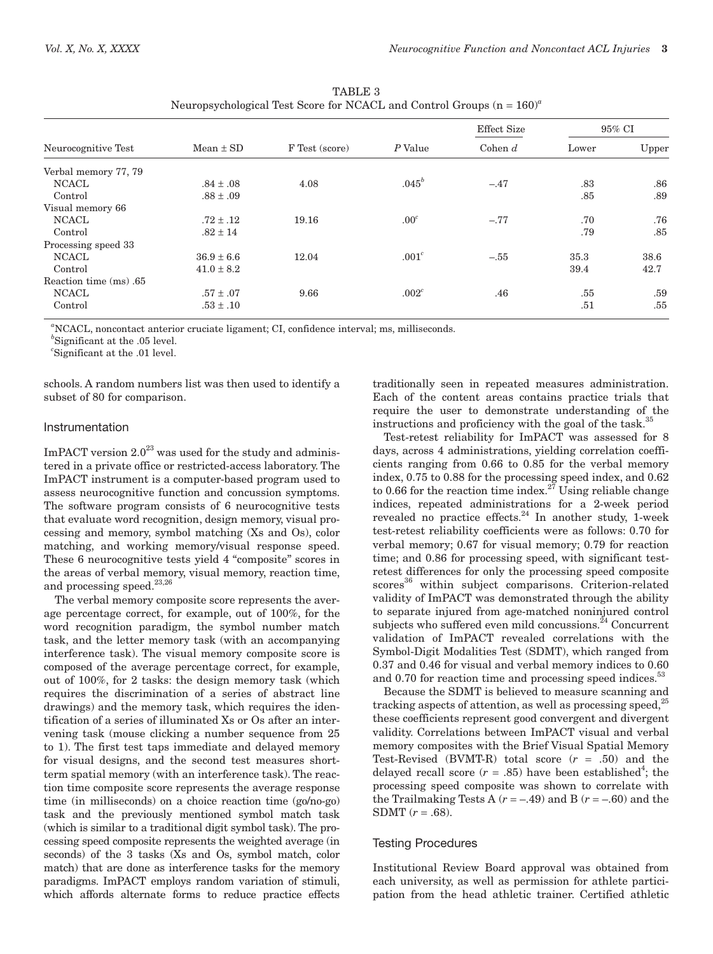| Neurocognitive Test    | $Mean \pm SD$  | F Test (score) | $P$ Value         | <b>Effect Size</b><br>Cohen $d$ | 95% CI |       |
|------------------------|----------------|----------------|-------------------|---------------------------------|--------|-------|
|                        |                |                |                   |                                 | Lower  | Upper |
| Verbal memory 77, 79   |                |                |                   |                                 |        |       |
| <b>NCACL</b>           | $.84 \pm .08$  | 4.08           | $.045^{b}$        | $-.47$                          | .83    | .86   |
| Control                | $.88 \pm .09$  |                |                   |                                 | .85    | .89   |
| Visual memory 66       |                |                |                   |                                 |        |       |
| <b>NCACL</b>           | $.72 \pm .12$  | 19.16          | .00 <sup>c</sup>  | $-.77$                          | .70    | .76   |
| Control                | $.82 \pm 14$   |                |                   |                                 | .79    | .85   |
| Processing speed 33    |                |                |                   |                                 |        |       |
| <b>NCACL</b>           | $36.9 \pm 6.6$ | 12.04          | $.001^c$          | $-.55$                          | 35.3   | 38.6  |
| Control                | $41.0 \pm 8.2$ |                |                   |                                 | 39.4   | 42.7  |
| Reaction time (ms) .65 |                |                |                   |                                 |        |       |
| <b>NCACL</b>           | $.57 \pm .07$  | 9.66           | .002 <sup>c</sup> | .46                             | .55    | .59   |
| Control                | $.53 \pm .10$  |                |                   |                                 | .51    | .55   |

TABLE 3 Neuropsychological Test Score for NCACL and Control Groups (n = 160)*<sup>a</sup>*

<sup>a</sup>NCACL, noncontact anterior cruciate ligament; CI, confidence interval; ms, milliseconds.

*b* Significant at the .05 level.

*c* Significant at the .01 level.

schools. A random numbers list was then used to identify a subset of 80 for comparison.

## Instrumentation

ImPACT version  $2.0^{23}$  was used for the study and administered in a private office or restricted-access laboratory. The ImPACT instrument is a computer-based program used to assess neurocognitive function and concussion symptoms. The software program consists of 6 neurocognitive tests that evaluate word recognition, design memory, visual processing and memory, symbol matching (Xs and Os), color matching, and working memory/visual response speed. These 6 neurocognitive tests yield 4 "composite" scores in the areas of verbal memory, visual memory, reaction time, and processing speed. $23,26$ 

The verbal memory composite score represents the average percentage correct, for example, out of 100%, for the word recognition paradigm, the symbol number match task, and the letter memory task (with an accompanying interference task). The visual memory composite score is composed of the average percentage correct, for example, out of 100%, for 2 tasks: the design memory task (which requires the discrimination of a series of abstract line drawings) and the memory task, which requires the identification of a series of illuminated Xs or Os after an intervening task (mouse clicking a number sequence from 25 to 1). The first test taps immediate and delayed memory for visual designs, and the second test measures shortterm spatial memory (with an interference task). The reaction time composite score represents the average response time (in milliseconds) on a choice reaction time (go/no-go) task and the previously mentioned symbol match task (which is similar to a traditional digit symbol task). The processing speed composite represents the weighted average (in seconds) of the 3 tasks (Xs and Os, symbol match, color match) that are done as interference tasks for the memory paradigms. ImPACT employs random variation of stimuli, which affords alternate forms to reduce practice effects

traditionally seen in repeated measures administration. Each of the content areas contains practice trials that require the user to demonstrate understanding of the instructions and proficiency with the goal of the task.<sup>35</sup>

Test-retest reliability for ImPACT was assessed for 8 days, across 4 administrations, yielding correlation coefficients ranging from 0.66 to 0.85 for the verbal memory index, 0.75 to 0.88 for the processing speed index, and 0.62 to 0.66 for the reaction time index.<sup>27</sup> Using reliable change indices, repeated administrations for a 2-week period revealed no practice effects. $^{24}$  In another study, 1-week test-retest reliability coefficients were as follows: 0.70 for verbal memory; 0.67 for visual memory; 0.79 for reaction time; and 0.86 for processing speed, with significant testretest differences for only the processing speed composite scores<sup>36</sup> within subject comparisons. Criterion-related validity of ImPACT was demonstrated through the ability to separate injured from age-matched noninjured control subjects who suffered even mild concussions. $^{24}$  Concurrent validation of ImPACT revealed correlations with the Symbol-Digit Modalities Test (SDMT), which ranged from 0.37 and 0.46 for visual and verbal memory indices to 0.60 and 0.70 for reaction time and processing speed indices.<sup>53</sup>

Because the SDMT is believed to measure scanning and tracking aspects of attention, as well as processing speed,  $^{25}$ these coefficients represent good convergent and divergent validity. Correlations between ImPACT visual and verbal memory composites with the Brief Visual Spatial Memory Test-Revised (BVMT-R) total score  $(r = .50)$  and the delayed recall score  $(r=.85)$  have been established<sup>4</sup>; the processing speed composite was shown to correlate with the Trailmaking Tests A  $(r = -.49)$  and B  $(r = -.60)$  and the SDMT (*r* = .68).

## Testing Procedures

Institutional Review Board approval was obtained from each university, as well as permission for athlete participation from the head athletic trainer. Certified athletic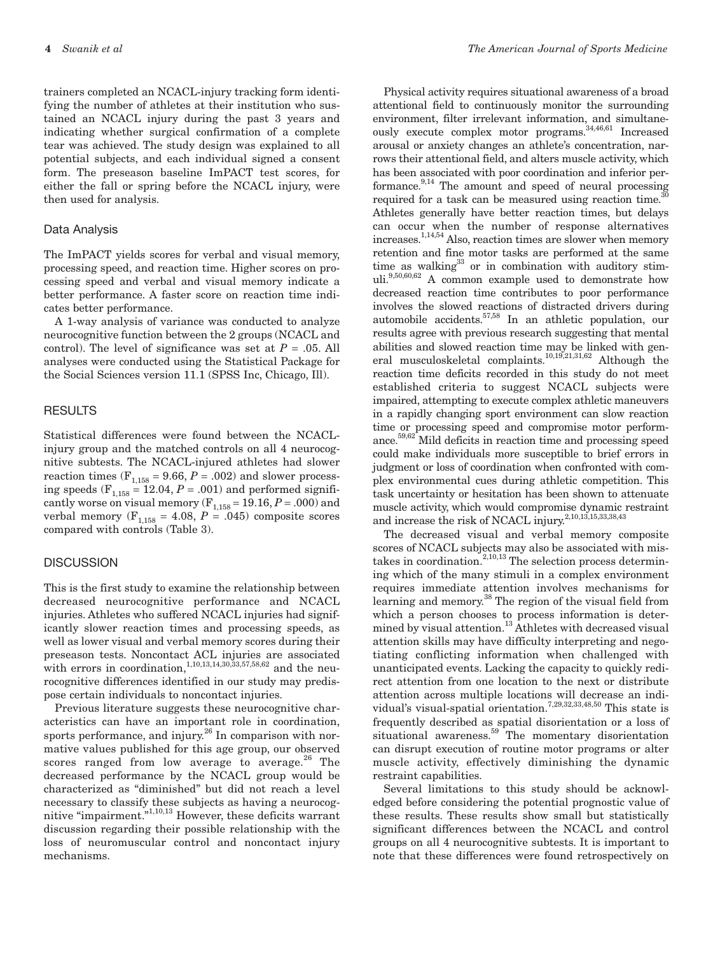trainers completed an NCACL-injury tracking form identifying the number of athletes at their institution who sustained an NCACL injury during the past 3 years and indicating whether surgical confirmation of a complete tear was achieved. The study design was explained to all potential subjects, and each individual signed a consent form. The preseason baseline ImPACT test scores, for either the fall or spring before the NCACL injury, were then used for analysis.

#### Data Analysis

The ImPACT yields scores for verbal and visual memory, processing speed, and reaction time. Higher scores on processing speed and verbal and visual memory indicate a better performance. A faster score on reaction time indicates better performance.

A 1-way analysis of variance was conducted to analyze neurocognitive function between the 2 groups (NCACL and control). The level of significance was set at  $P = .05$ . All analyses were conducted using the Statistical Package for the Social Sciences version 11.1 (SPSS Inc, Chicago, Ill).

## **RESULTS**

Statistical differences were found between the NCACLinjury group and the matched controls on all 4 neurocognitive subtests. The NCACL-injured athletes had slower reaction times  $(F_{1,158} = 9.66, P = .002)$  and slower processing speeds  $(F_{1,158} = 12.04, P = .001)$  and performed significantly worse on visual memory ( $F_{1,158} = 19.16, P = .000$ ) and verbal memory ( $F_{1,158} = 4.08, P = .045$ ) composite scores compared with controls (Table 3).

## **DISCUSSION**

This is the first study to examine the relationship between decreased neurocognitive performance and NCACL injuries. Athletes who suffered NCACL injuries had significantly slower reaction times and processing speeds, as well as lower visual and verbal memory scores during their preseason tests. Noncontact ACL injuries are associated with errors in coordination,<sup>1,10,13,14,30,33,57,58,62</sup> and the neurocognitive differences identified in our study may predispose certain individuals to noncontact injuries.

Previous literature suggests these neurocognitive characteristics can have an important role in coordination, sports performance, and injury. $^{26}$  In comparison with normative values published for this age group, our observed scores ranged from low average to average. $^{26}$  The decreased performance by the NCACL group would be characterized as "diminished" but did not reach a level necessary to classify these subjects as having a neurocognitive "impairment."1,10,13 However, these deficits warrant discussion regarding their possible relationship with the loss of neuromuscular control and noncontact injury mechanisms.

Physical activity requires situational awareness of a broad attentional field to continuously monitor the surrounding environment, filter irrelevant information, and simultaneously execute complex motor programs.<sup>34,46,61</sup> Increased arousal or anxiety changes an athlete's concentration, narrows their attentional field, and alters muscle activity, which has been associated with poor coordination and inferior performance. $9,14$  The amount and speed of neural processing required for a task can be measured using reaction time.<sup>3</sup> Athletes generally have better reaction times, but delays can occur when the number of response alternatives increases.1,14,54 Also, reaction times are slower when memory retention and fine motor tasks are performed at the same time as walking<sup>33</sup> or in combination with auditory stimuli.<sup>9,50,60,62</sup> A common example used to demonstrate how decreased reaction time contributes to poor performance involves the slowed reactions of distracted drivers during automobile accidents.57,58 In an athletic population, our results agree with previous research suggesting that mental abilities and slowed reaction time may be linked with general musculoskeletal complaints.<sup>10,19,21,31,62</sup> Although the reaction time deficits recorded in this study do not meet established criteria to suggest NCACL subjects were impaired, attempting to execute complex athletic maneuvers in a rapidly changing sport environment can slow reaction time or processing speed and compromise motor performance.<sup>59,62</sup> Mild deficits in reaction time and processing speed could make individuals more susceptible to brief errors in judgment or loss of coordination when confronted with complex environmental cues during athletic competition. This task uncertainty or hesitation has been shown to attenuate muscle activity, which would compromise dynamic restraint and increase the risk of NCACL injury.<sup>2,10,13,15,33,38,43</sup>

The decreased visual and verbal memory composite scores of NCACL subjects may also be associated with mistakes in coordination. $^{2,10,13}$  The selection process determining which of the many stimuli in a complex environment requires immediate attention involves mechanisms for learning and memory.<sup>38</sup> The region of the visual field from which a person chooses to process information is determined by visual attention.<sup>13</sup> Athletes with decreased visual attention skills may have difficulty interpreting and negotiating conflicting information when challenged with unanticipated events. Lacking the capacity to quickly redirect attention from one location to the next or distribute attention across multiple locations will decrease an individual's visual-spatial orientation.<sup>7,29,32,33,48,50</sup> This state is frequently described as spatial disorientation or a loss of situational awareness.<sup>59</sup> The momentary disorientation can disrupt execution of routine motor programs or alter muscle activity, effectively diminishing the dynamic restraint capabilities.

Several limitations to this study should be acknowledged before considering the potential prognostic value of these results. These results show small but statistically significant differences between the NCACL and control groups on all 4 neurocognitive subtests. It is important to note that these differences were found retrospectively on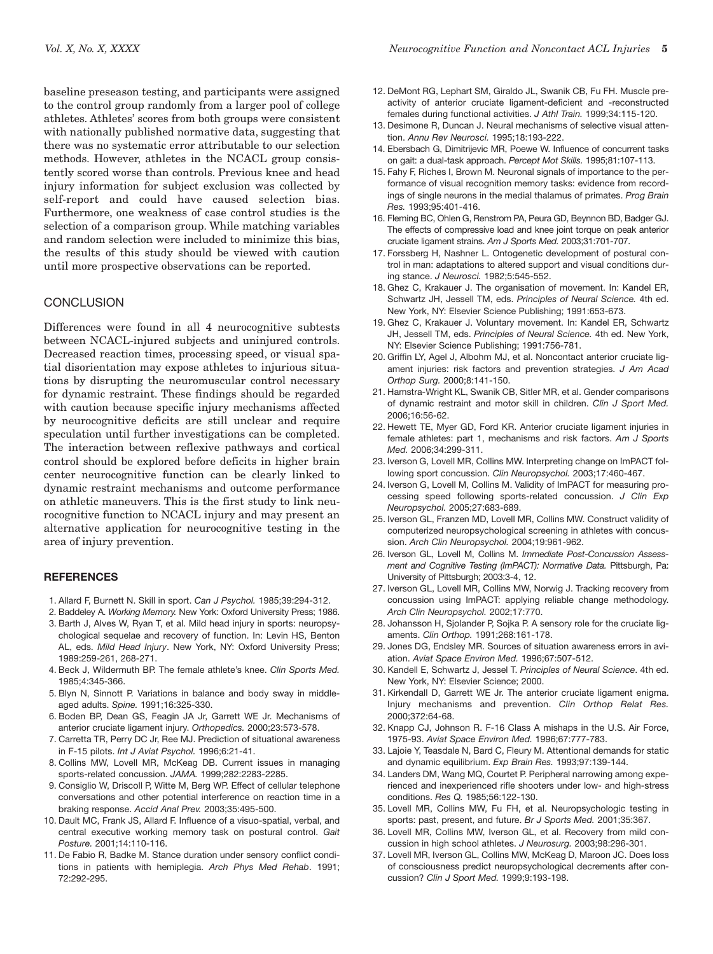baseline preseason testing, and participants were assigned to the control group randomly from a larger pool of college athletes. Athletes' scores from both groups were consistent with nationally published normative data, suggesting that there was no systematic error attributable to our selection methods. However, athletes in the NCACL group consistently scored worse than controls. Previous knee and head injury information for subject exclusion was collected by self-report and could have caused selection bias. Furthermore, one weakness of case control studies is the selection of a comparison group. While matching variables and random selection were included to minimize this bias, the results of this study should be viewed with caution until more prospective observations can be reported.

#### **CONCLUSION**

Differences were found in all 4 neurocognitive subtests between NCACL-injured subjects and uninjured controls. Decreased reaction times, processing speed, or visual spatial disorientation may expose athletes to injurious situations by disrupting the neuromuscular control necessary for dynamic restraint. These findings should be regarded with caution because specific injury mechanisms affected by neurocognitive deficits are still unclear and require speculation until further investigations can be completed. The interaction between reflexive pathways and cortical control should be explored before deficits in higher brain center neurocognitive function can be clearly linked to dynamic restraint mechanisms and outcome performance on athletic maneuvers. This is the first study to link neurocognitive function to NCACL injury and may present an alternative application for neurocognitive testing in the area of injury prevention.

#### **REFERENCES**

- 1. Allard F, Burnett N. Skill in sport. *Can J Psychol.* 1985;39:294-312.
- 2. Baddeley A. *Working Memory.* New York: Oxford University Press; 1986. 3. Barth J, Alves W, Ryan T, et al. Mild head injury in sports: neuropsychological sequelae and recovery of function. In: Levin HS, Benton
- AL, eds. *Mild Head Injury*. New York, NY: Oxford University Press; 1989:259-261, 268-271.
- 4. Beck J, Wildermuth BP. The female athlete's knee. *Clin Sports Med.* 1985;4:345-366.
- 5. Blyn N, Sinnott P. Variations in balance and body sway in middleaged adults. *Spine.* 1991;16:325-330.
- 6. Boden BP, Dean GS, Feagin JA Jr, Garrett WE Jr. Mechanisms of anterior cruciate ligament injury. *Orthopedics.* 2000;23:573-578.
- 7. Carretta TR, Perry DC Jr, Ree MJ. Prediction of situational awareness in F-15 pilots. *Int J Aviat Psychol.* 1996;6:21-41.
- 8. Collins MW, Lovell MR, McKeag DB. Current issues in managing sports-related concussion. *JAMA.* 1999;282:2283-2285.
- 9. Consiglio W, Driscoll P, Witte M, Berg WP. Effect of cellular telephone conversations and other potential interference on reaction time in a braking response. *Accid Anal Prev.* 2003;35:495-500.
- 10. Dault MC, Frank JS, Allard F. Influence of a visuo-spatial, verbal, and central executive working memory task on postural control. *Gait Posture.* 2001;14:110-116.
- 11. De Fabio R, Badke M. Stance duration under sensory conflict conditions in patients with hemiplegia. *Arch Phys Med Rehab*. 1991; 72:292-295.
- 12. DeMont RG, Lephart SM, Giraldo JL, Swanik CB, Fu FH. Muscle preactivity of anterior cruciate ligament-deficient and -reconstructed females during functional activities. *J Athl Train.* 1999;34:115-120.
- 13. Desimone R, Duncan J. Neural mechanisms of selective visual attention. *Annu Rev Neurosci.* 1995;18:193-222.
- 14. Ebersbach G, Dimitrijevic MR, Poewe W. Influence of concurrent tasks on gait: a dual-task approach. *Percept Mot Skills.* 1995;81:107-113.
- 15. Fahy F, Riches I, Brown M. Neuronal signals of importance to the performance of visual recognition memory tasks: evidence from recordings of single neurons in the medial thalamus of primates. *Prog Brain Res.* 1993;95:401-416.
- 16. Fleming BC, Ohlen G, Renstrom PA, Peura GD, Beynnon BD, Badger GJ. The effects of compressive load and knee joint torque on peak anterior cruciate ligament strains. *Am J Sports Med.* 2003;31:701-707.
- 17. Forssberg H, Nashner L. Ontogenetic development of postural control in man: adaptations to altered support and visual conditions during stance. *J Neurosci.* 1982;5:545-552.
- 18. Ghez C, Krakauer J. The organisation of movement. In: Kandel ER, Schwartz JH, Jessell TM, eds. *Principles of Neural Science.* 4th ed. New York, NY: Elsevier Science Publishing; 1991:653-673.
- 19. Ghez C, Krakauer J. Voluntary movement. In: Kandel ER, Schwartz JH, Jessell TM, eds. *Principles of Neural Science.* 4th ed. New York, NY: Elsevier Science Publishing; 1991:756-781.
- 20. Griffin LY, Agel J, Albohm MJ, et al. Noncontact anterior cruciate ligament injuries: risk factors and prevention strategies. *J Am Acad Orthop Surg.* 2000;8:141-150.
- 21. Hamstra-Wright KL, Swanik CB, Sitler MR, et al. Gender comparisons of dynamic restraint and motor skill in children. *Clin J Sport Med.* 2006;16:56-62.
- 22. Hewett TE, Myer GD, Ford KR. Anterior cruciate ligament injuries in female athletes: part 1, mechanisms and risk factors. *Am J Sports Med.* 2006;34:299-311.
- 23. Iverson G, Lovell MR, Collins MW. Interpreting change on ImPACT following sport concussion. *Clin Neuropsychol.* 2003;17:460-467.
- 24. Iverson G, Lovell M, Collins M. Validity of ImPACT for measuring processing speed following sports-related concussion. *J Clin Exp Neuropsychol.* 2005;27:683-689.
- 25. Iverson GL, Franzen MD, Lovell MR, Collins MW. Construct validity of computerized neuropsychological screening in athletes with concussion. *Arch Clin Neuropsychol.* 2004;19:961-962.
- 26. Iverson GL, Lovell M, Collins M. *Immediate Post-Concussion Assess*ment and Cognitive Testing (ImPACT): Normative Data. Pittsburgh, Pa: University of Pittsburgh; 2003:3-4, 12.
- 27. Iverson GL, Lovell MR, Collins MW, Norwig J. Tracking recovery from concussion using ImPACT: applying reliable change methodology. *Arch Clin Neuropsychol.* 2002;17:770.
- 28. Johansson H, Sjolander P, Sojka P. A sensory role for the cruciate ligaments. *Clin Orthop.* 1991;268:161-178.
- 29. Jones DG, Endsley MR. Sources of situation awareness errors in aviation. *Aviat Space Environ Med.* 1996;67:507-512.
- 30. Kandell E, Schwartz J, Jessel T. *Principles of Neural Science*. 4th ed. New York, NY: Elsevier Science; 2000.
- 31. Kirkendall D, Garrett WE Jr. The anterior cruciate ligament enigma. Injury mechanisms and prevention. *Clin Orthop Relat Res.* 2000;372:64-68.
- 32. Knapp CJ, Johnson R. F-16 Class A mishaps in the U.S. Air Force, 1975-93. *Aviat Space Environ Med.* 1996;67:777-783.
- 33. Lajoie Y, Teasdale N, Bard C, Fleury M. Attentional demands for static and dynamic equilibrium. *Exp Brain Res.* 1993;97:139-144.
- 34. Landers DM, Wang MQ, Courtet P. Peripheral narrowing among experienced and inexperienced rifle shooters under low- and high-stress conditions. *Res Q.* 1985;56:122-130.
- 35. Lovell MR, Collins MW, Fu FH, et al. Neuropsychologic testing in sports: past, present, and future. *Br J Sports Med.* 2001;35:367.
- 36. Lovell MR, Collins MW, Iverson GL, et al. Recovery from mild concussion in high school athletes. *J Neurosurg.* 2003;98:296-301.
- 37. Lovell MR, Iverson GL, Collins MW, McKeag D, Maroon JC. Does loss of consciousness predict neuropsychological decrements after concussion? *Clin J Sport Med.* 1999;9:193-198.